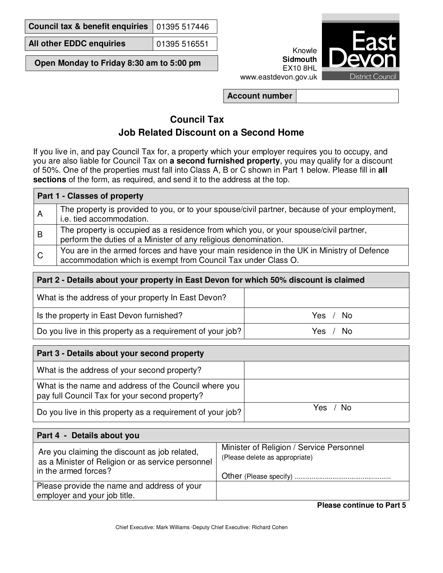**Council tax & benefit enquiries** 01395 517446

**All other EDDC enquiries** 01395 516551

**Open Monday to Friday 8:30 am to 5:00 pm** 



www.eastdevon.gov.uk

**Account number**

## **Council Tax Job Related Discount on a Second Home**

If you live in, and pay Council Tax for, a property which your employer requires you to occupy, and you are also liable for Council Tax on **a second furnished property**, you may qualify for a discount of 50%. One of the properties must fall into Class A, B or C shown in Part 1 below. Please fill in **all sections** of the form, as required, and send it to the address at the top.

| Part 1 - Classes of property |                                                                                                                                                            |  |
|------------------------------|------------------------------------------------------------------------------------------------------------------------------------------------------------|--|
| A                            | The property is provided to you, or to your spouse/civil partner, because of your employment,<br>i.e. tied accommodation.                                  |  |
| B                            | The property is occupied as a residence from which you, or your spouse/civil partner,<br>perform the duties of a Minister of any religious denomination.   |  |
| C                            | You are in the armed forces and have your main residence in the UK in Ministry of Defence<br>accommodation which is exempt from Council Tax under Class O. |  |

| Part 2 - Details about your property in East Devon for which 50% discount is claimed |          |  |
|--------------------------------------------------------------------------------------|----------|--|
| What is the address of your property In East Devon?                                  |          |  |
| Is the property in East Devon furnished?                                             | Yes / No |  |
| Do you live in this property as a requirement of your job?                           | Yes / No |  |

| Part 3 - Details about your second property                                                             |             |  |  |
|---------------------------------------------------------------------------------------------------------|-------------|--|--|
| What is the address of your second property?                                                            |             |  |  |
| What is the name and address of the Council where you<br>pay full Council Tax for your second property? |             |  |  |
| Do you live in this property as a requirement of your job?                                              | - No<br>Yes |  |  |

| Part 4 - Details about you                                                                                                 |                                                                            |  |  |
|----------------------------------------------------------------------------------------------------------------------------|----------------------------------------------------------------------------|--|--|
| Are you claiming the discount as job related,<br>as a Minister of Religion or as service personnel<br>in the armed forces? | Minister of Religion / Service Personnel<br>(Please delete as appropriate) |  |  |
| Please provide the name and address of your<br>employer and your job title.                                                |                                                                            |  |  |

**Please continue to Part 5**